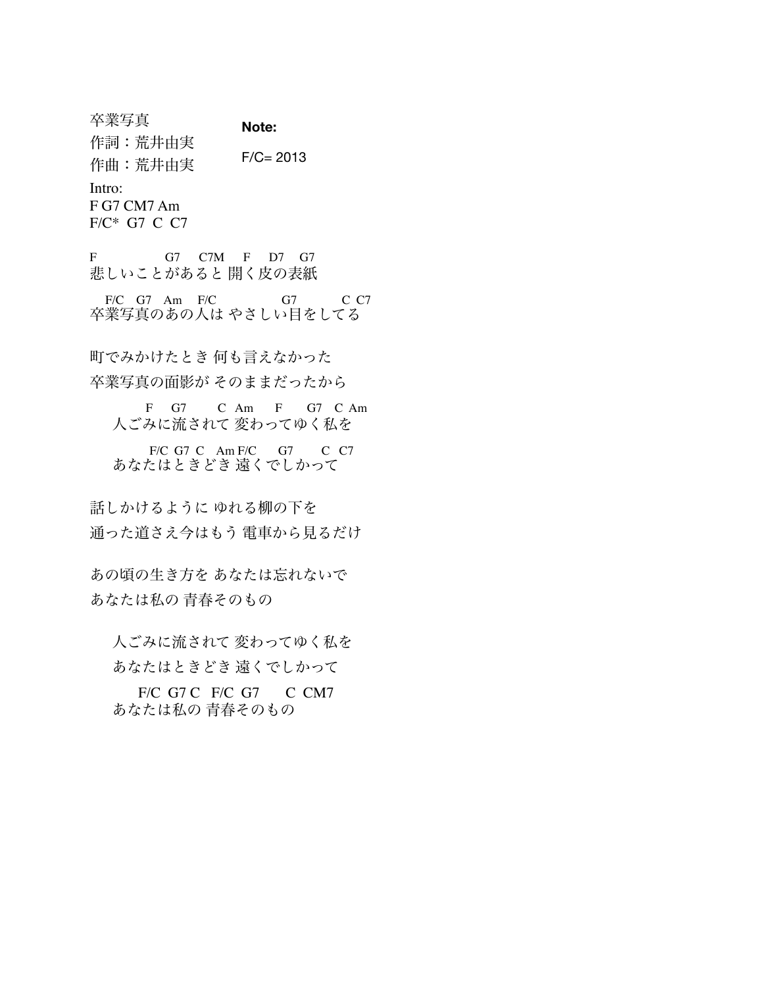卒業写真 作詞:荒井由実 作曲:荒井由実 Intro: F G7 CM7 Am F/C\* G7 C C7 **Note:**   $F/C = 2013$ 

F G7 C7M F D7 G7 悲しいことがあると 開く皮の表紙

 F/C G7 Am F/C G7 C C7 卒業写真のあの人は やさしい目をしてる

町でみかけたとき 何も言えなかった

卒業写真の面影が そのままだったから

 F G7 C Am F G7 C Am 人ごみに流されて 変わってゆく私を

 F/C G7 C Am F/C G7 C C7 あなたはときどき 遠くでしかって

話しかけるように ゆれる柳の下を 通った道さえ今はもう 電車から見るだけ

あの頃の生き方を あなたは忘れないで あなたは私の 青春そのもの

人ごみに流されて 変わってゆく私を あなたはときどき 遠くでしかって

 F/C G7 C F/C G7 C CM7 あなたは私の 青春そのもの